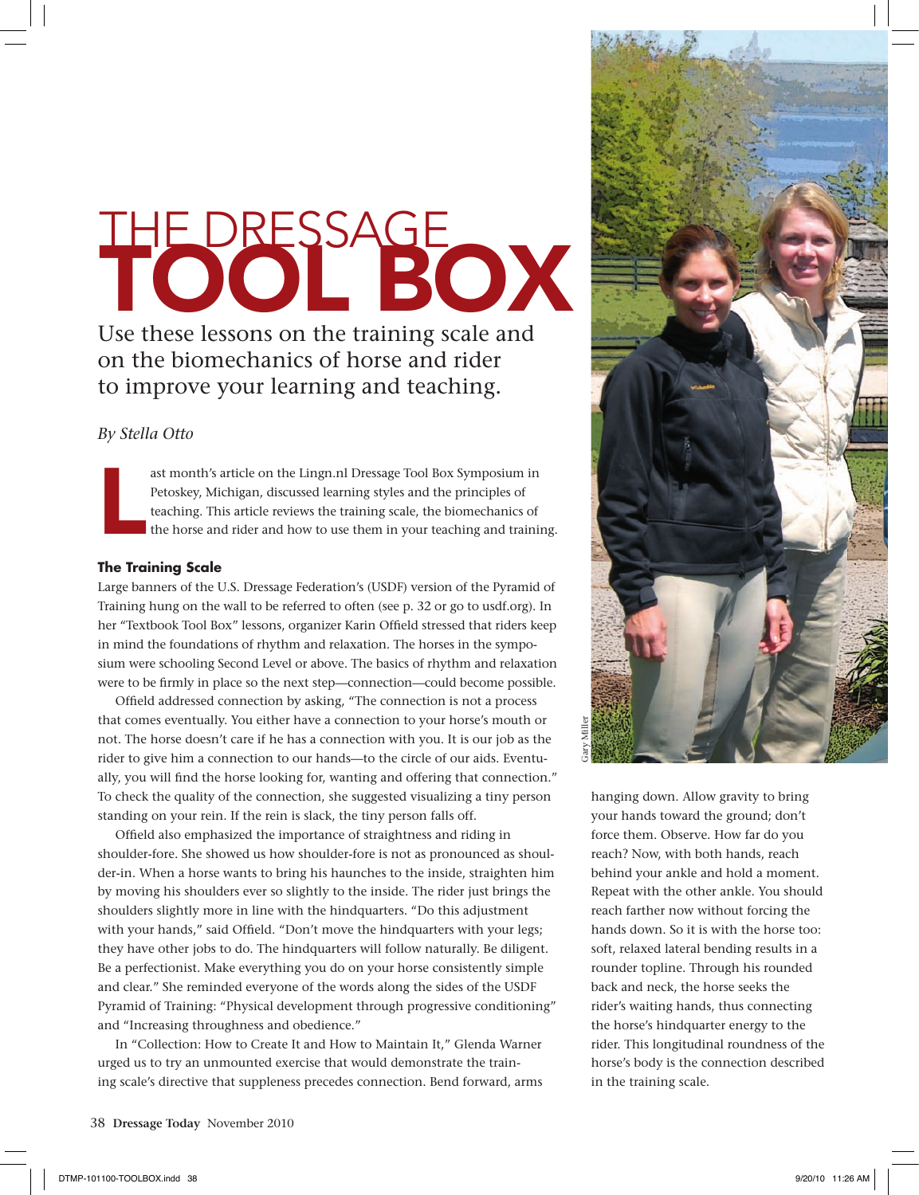# THE DRESSAGE OX

Use these lessons on the training scale and on the biomechanics of horse and rider to improve your learning and teaching.

# *By Stella Otto*

L ast month's article on the Lingn.nl Dressage Tool Box Symposium in Petoskey, Michigan, discussed learning styles and the principles of teaching. This article reviews the training scale, the biomechanics of the horse and rider and how to use them in your teaching and training.

### **The Training Scale**

Large banners of the U.S. Dressage Federation's (USDF) version of the Pyramid of Training hung on the wall to be referred to often (see p. 32 or go to usdf.org). In her "Textbook Tool Box" lessons, organizer Karin Offield stressed that riders keep in mind the foundations of rhythm and relaxation. The horses in the symposium were schooling Second Level or above. The basics of rhythm and relaxation were to be firmly in place so the next step—connection—could become possible.

Offield addressed connection by asking, "The connection is not a process that comes eventually. You either have a connection to your horse's mouth or not. The horse doesn't care if he has a connection with you. It is our job as the rider to give him a connection to our hands—to the circle of our aids. Eventually, you will find the horse looking for, wanting and offering that connection." To check the quality of the connection, she suggested visualizing a tiny person standing on your rein. If the rein is slack, the tiny person falls off.

Offield also emphasized the importance of straightness and riding in shoulder-fore. She showed us how shoulder-fore is not as pronounced as shoulder-in. When a horse wants to bring his haunches to the inside, straighten him by moving his shoulders ever so slightly to the inside. The rider just brings the shoulders slightly more in line with the hindquarters. "Do this adjustment with your hands," said Offield. "Don't move the hindquarters with your legs; they have other jobs to do. The hindquarters will follow naturally. Be diligent. Be a perfectionist. Make everything you do on your horse consistently simple and clear." She reminded everyone of the words along the sides of the USDF Pyramid of Training: "Physical development through progressive conditioning" and "Increasing throughness and obedience."

In "Collection: How to Create It and How to Maintain It," Glenda Warner urged us to try an unmounted exercise that would demonstrate the training scale's directive that suppleness precedes connection. Bend forward, arms



hanging down. Allow gravity to bring your hands toward the ground; don't force them. Observe. How far do you reach? Now, with both hands, reach behind your ankle and hold a moment. Repeat with the other ankle. You should reach farther now without forcing the hands down. So it is with the horse too: soft, relaxed lateral bending results in a rounder topline. Through his rounded back and neck, the horse seeks the rider's waiting hands, thus connecting the horse's hindquarter energy to the rider. This longitudinal roundness of the horse's body is the connection described in the training scale.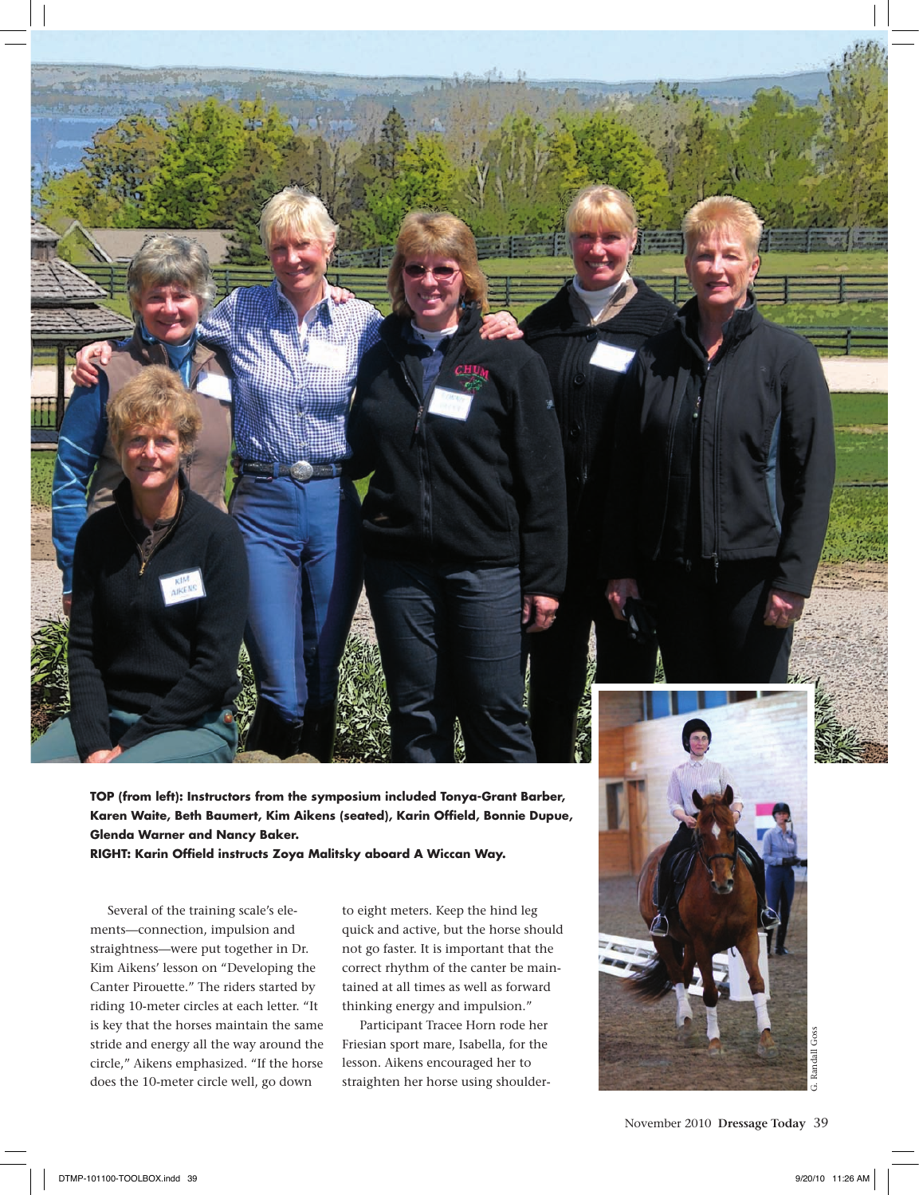**TOP (from left): Instructors from the symposium included Tonya-Grant Barber, Karen Waite, Beth Baumert, Kim Aikens (seated), Karin Offield, Bonnie Dupue, Glenda Warner and Nancy Baker.**

**RIGHT: Karin Offield instructs Zoya Malitsky aboard A Wiccan Way.**

Several of the training scale's elements—connection, impulsion and straightness—were put together in Dr. Kim Aikens' lesson on "Developing the Canter Pirouette." The riders started by riding 10-meter circles at each letter. "It is key that the horses maintain the same stride and energy all the way around the circle," Aikens emphasized. "If the horse does the 10-meter circle well, go down

to eight meters. Keep the hind leg quick and active, but the horse should not go faster. It is important that the correct rhythm of the canter be maintained at all times as well as forward thinking energy and impulsion."

Participant Tracee Horn rode her Friesian sport mare, Isabella, for the lesson. Aikens encouraged her to straighten her horse using shoulder-



November 2010 **Dressage Today** 39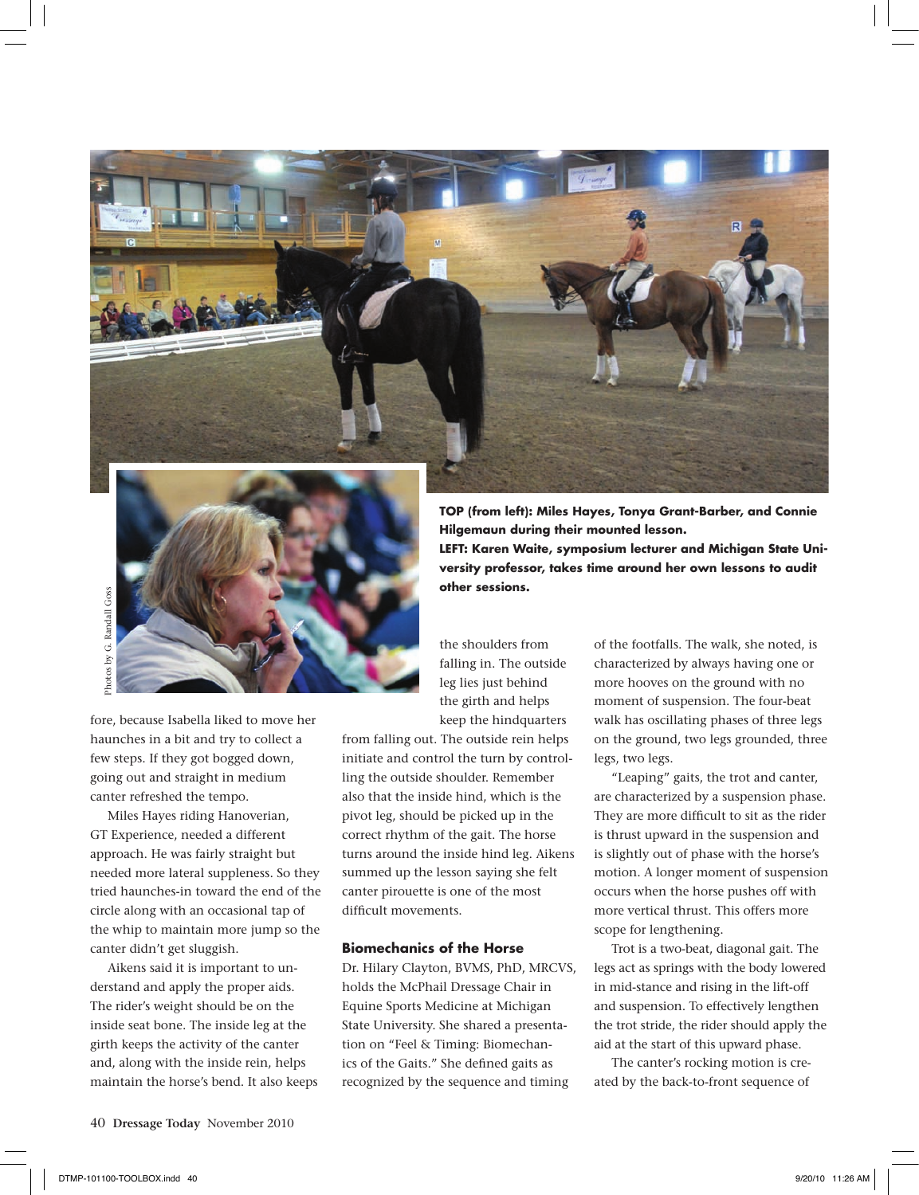



fore, because Isabella liked to move her haunches in a bit and try to collect a few steps. If they got bogged down, going out and straight in medium canter refreshed the tempo.

Miles Hayes riding Hanoverian, GT Experience, needed a different approach. He was fairly straight but needed more lateral suppleness. So they tried haunches-in toward the end of the circle along with an occasional tap of the whip to maintain more jump so the canter didn't get sluggish.

Aikens said it is important to understand and apply the proper aids. The rider's weight should be on the inside seat bone. The inside leg at the girth keeps the activity of the canter and, along with the inside rein, helps maintain the horse's bend. It also keeps

keep the hindquarters from falling out. The outside rein helps initiate and control the turn by controlling the outside shoulder. Remember also that the inside hind, which is the pivot leg, should be picked up in the correct rhythm of the gait. The horse turns around the inside hind leg. Aikens summed up the lesson saying she felt canter pirouette is one of the most

the shoulders from falling in. The outside leg lies just behind the girth and helps

#### **Biomechanics of the Horse**

difficult movements.

Dr. Hilary Clayton, BVMS, PhD, MRCVS, holds the McPhail Dressage Chair in Equine Sports Medicine at Michigan State University. She shared a presentation on "Feel & Timing: Biomechanics of the Gaits." She defined gaits as recognized by the sequence and timing

**TOP (from left): Miles Hayes, Tonya Grant-Barber, and Connie Hilgemaun during their mounted lesson. LEFT: Karen Waite, symposium lecturer and Michigan State University professor, takes time around her own lessons to audit other sessions.**

> of the footfalls. The walk, she noted, is characterized by always having one or more hooves on the ground with no moment of suspension. The four-beat walk has oscillating phases of three legs on the ground, two legs grounded, three legs, two legs.

> "Leaping" gaits, the trot and canter, are characterized by a suspension phase. They are more difficult to sit as the rider is thrust upward in the suspension and is slightly out of phase with the horse's motion. A longer moment of suspension occurs when the horse pushes off with more vertical thrust. This offers more scope for lengthening.

> Trot is a two-beat, diagonal gait. The legs act as springs with the body lowered in mid-stance and rising in the lift-off and suspension. To effectively lengthen the trot stride, the rider should apply the aid at the start of this upward phase.

The canter's rocking motion is created by the back-to-front sequence of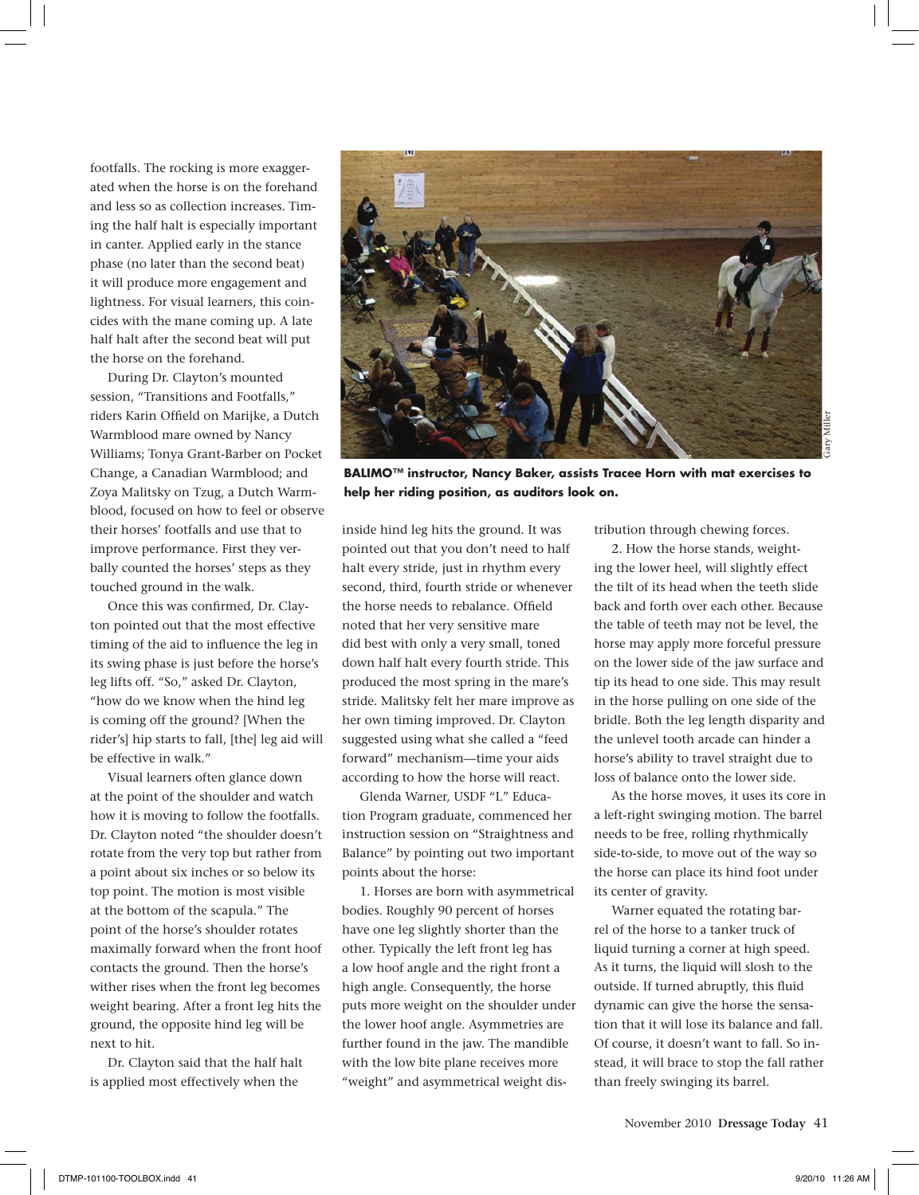footfalls. The rocking is more exaggerated when the horse is on the forehand and less so as collection increases. Timing the half halt is especially important in canter. Applied early in the stance phase (no later than the second beat) it will produce more engagement and lightness. For visual learners, this coincides with the mane coming up. A late half halt after the second beat will put the horse on the forehand.

During Dr. Clayton's mounted session, "Transitions and Footfalls," riders Karin Offield on Marijke, a Dutch Warmblood mare owned by Nancy Williams; Tonya Grant-Barber on Pocket Change, a Canadian Warmblood; and Zoya Malitsky on Tzug, a Dutch Warmblood, focused on how to feel or observe their horses' footfalls and use that to improve performance. First they verbally counted the horses' steps as they touched ground in the walk.

Once this was confirmed, Dr. Clayton pointed out that the most effective timing of the aid to influence the leg in its swing phase is just before the horse's leg lifts off. "So," asked Dr. Clayton, "how do we know when the hind leg is coming off the ground? [When the rider's] hip starts to fall, [the] leg aid will be effective in walk."

Visual learners often glance down at the point of the shoulder and watch how it is moving to follow the footfalls. Dr. Clayton noted "the shoulder doesn't rotate from the very top but rather from a point about six inches or so below its top point. The motion is most visible at the bottom of the scapula." The point of the horse's shoulder rotates maximally forward when the front hoof contacts the ground. Then the horse's wither rises when the front leg becomes weight bearing. After a front leg hits the ground, the opposite hind leg will be next to hit.

Dr. Clayton said that the half halt is applied most effectively when the



**BALIMO™ instructor, Nancy Baker, assists Tracee Horn with mat exercises to help her riding position, as auditors look on.**

inside hind leg hits the ground. It was pointed out that you don't need to half halt every stride, just in rhythm every second, third, fourth stride or whenever the horse needs to rebalance. Offield noted that her very sensitive mare did best with only a very small, toned down half halt every fourth stride. This produced the most spring in the mare's stride. Malitsky felt her mare improve as her own timing improved. Dr. Clayton suggested using what she called a "feed forward" mechanism—time your aids according to how the horse will react.

Glenda Warner, USDF "L" Education Program graduate, commenced her instruction session on "Straightness and Balance" by pointing out two important points about the horse:

1. Horses are born with asymmetrical bodies. Roughly 90 percent of horses have one leg slightly shorter than the other. Typically the left front leg has a low hoof angle and the right front a high angle. Consequently, the horse puts more weight on the shoulder under the lower hoof angle. Asymmetries are further found in the jaw. The mandible with the low bite plane receives more "weight" and asymmetrical weight distribution through chewing forces.

2. How the horse stands, weighting the lower heel, will slightly effect the tilt of its head when the teeth slide back and forth over each other. Because the table of teeth may not be level, the horse may apply more forceful pressure on the lower side of the jaw surface and tip its head to one side. This may result in the horse pulling on one side of the bridle. Both the leg length disparity and the unlevel tooth arcade can hinder a horse's ability to travel straight due to loss of balance onto the lower side.

As the horse moves, it uses its core in a left-right swinging motion. The barrel needs to be free, rolling rhythmically side-to-side, to move out of the way so the horse can place its hind foot under its center of gravity.

Warner equated the rotating barrel of the horse to a tanker truck of liquid turning a corner at high speed. As it turns, the liquid will slosh to the outside. If turned abruptly, this fluid dynamic can give the horse the sensation that it will lose its balance and fall. Of course, it doesn't want to fall. So instead, it will brace to stop the fall rather than freely swinging its barrel.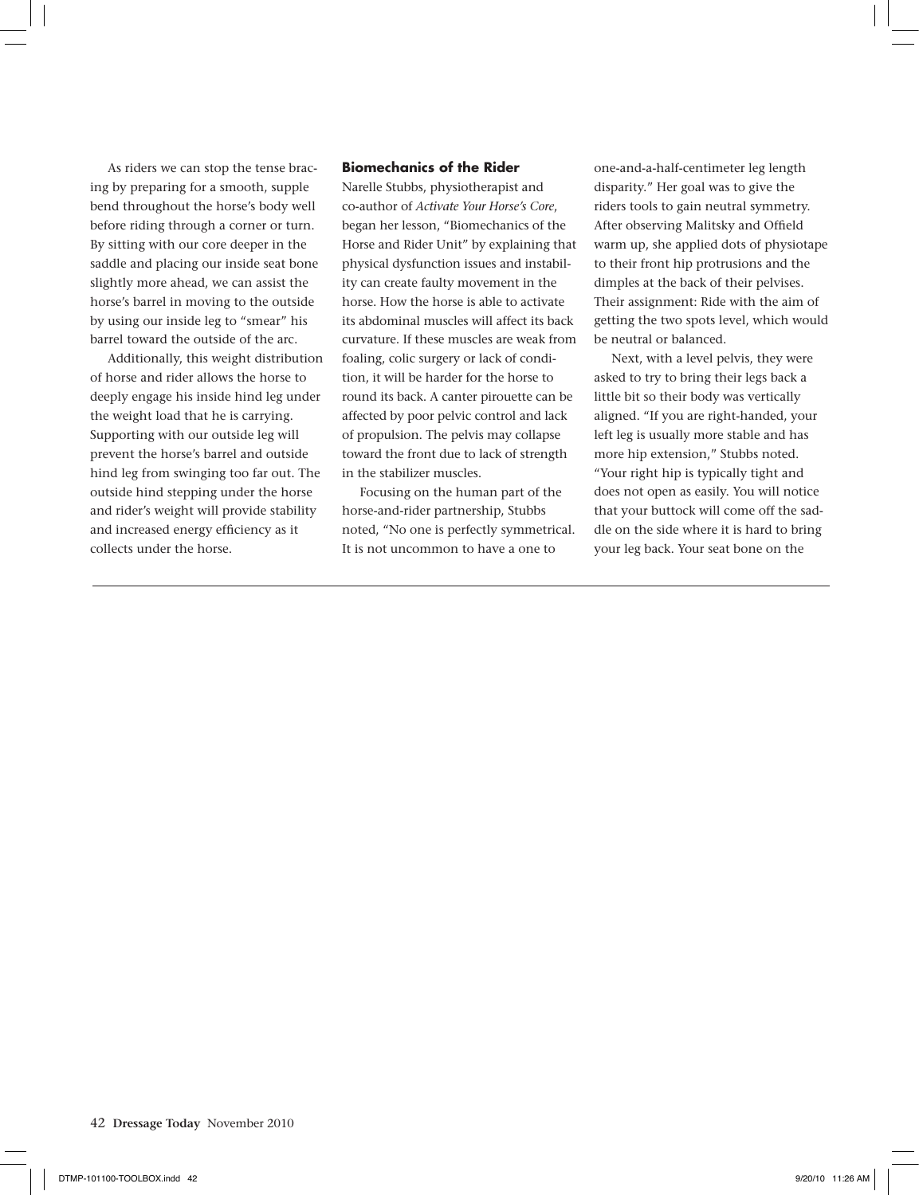As riders we can stop the tense bracing by preparing for a smooth, supple bend throughout the horse's body well before riding through a corner or turn. By sitting with our core deeper in the saddle and placing our inside seat bone slightly more ahead, we can assist the horse's barrel in moving to the outside by using our inside leg to "smear" his barrel toward the outside of the arc.

Additionally, this weight distribution of horse and rider allows the horse to deeply engage his inside hind leg under the weight load that he is carrying. Supporting with our outside leg will prevent the horse's barrel and outside hind leg from swinging too far out. The outside hind stepping under the horse and rider's weight will provide stability and increased energy efficiency as it collects under the horse.

## **Biomechanics of the Rider**

Narelle Stubbs, physiotherapist and co-author of *Activate Your Horse's Core*, began her lesson, "Biomechanics of the Horse and Rider Unit" by explaining that physical dysfunction issues and instability can create faulty movement in the horse. How the horse is able to activate its abdominal muscles will affect its back curvature. If these muscles are weak from foaling, colic surgery or lack of condition, it will be harder for the horse to round its back. A canter pirouette can be affected by poor pelvic control and lack of propulsion. The pelvis may collapse toward the front due to lack of strength in the stabilizer muscles.

Focusing on the human part of the horse-and-rider partnership, Stubbs noted, "No one is perfectly symmetrical. It is not uncommon to have a one to

one-and-a-half-centimeter leg length disparity." Her goal was to give the riders tools to gain neutral symmetry. After observing Malitsky and Offield warm up, she applied dots of physiotape to their front hip protrusions and the dimples at the back of their pelvises. Their assignment: Ride with the aim of getting the two spots level, which would be neutral or balanced.

Next, with a level pelvis, they were asked to try to bring their legs back a little bit so their body was vertically aligned. "If you are right-handed, your left leg is usually more stable and has more hip extension," Stubbs noted. "Your right hip is typically tight and does not open as easily. You will notice that your buttock will come off the saddle on the side where it is hard to bring your leg back. Your seat bone on the

42 **Dressage Today** November 2010